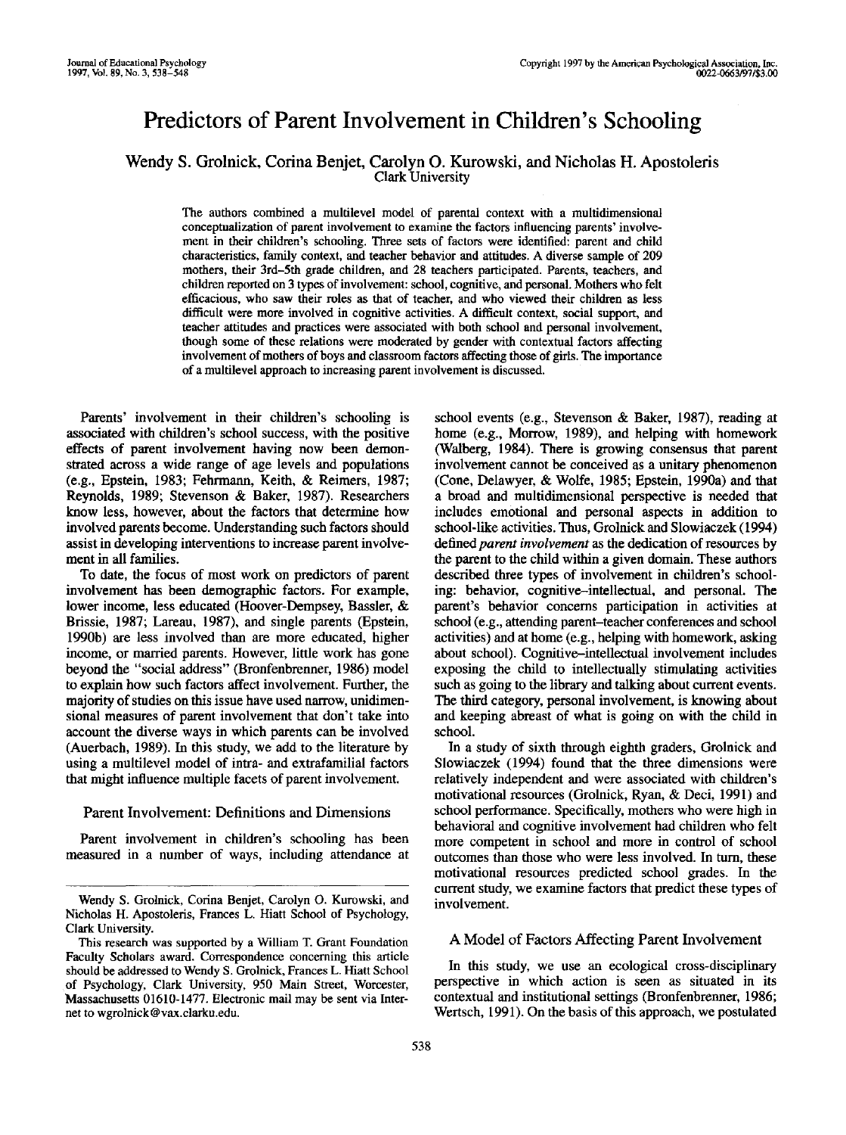# Predictors of Parent Involvement in Children's Schooling

Wendy S. Grolnick, Corina Benjet, Carolyn O. Kurowski, and Nicholas H. Apostoleris Clark University

The authors combined a multilevel model of parental context with a multidimensional conceptualization of parent involvement to examine the factors influencing parents' involvement in their children's schooling. Three sets of factors were identified: parent and child characteristics, family context, and teacher behavior and attitudes. A diverse sample of 209 mothers, their 3rd-5th grade children, and 28 teachers participated. Parents, teachers, and children reported on 3 types of involvement: school, cognitive, and personal. Mothers who felt efficacious, who saw their roles as that of teacher, and who viewed their children as less difficult were more involved in cognitive activities. A difficult context, social support, and teacher attitudes and practices were associated with both school and personal involvement, though some of these relations were moderated by gender with contextual factors affecting involvement of mothers of boys and classroom factors affecting those of girls. The importance of a multilevel approach to increasing parent involvement is discussed.

Parents' involvement in their children's schooling is associated with children's school success, with the positive effects of parent involvement having now been demonstrated across a wide range of age levels and populations (e.g., Epstein, 1983; Fehrmann, Keith, & Reimers, 1987; Reynolds, 1989; Stevenson & Baker, 1987). Researchers know less, however, about the factors that determine how involved parents become. Understanding such factors should assist in developing interventions to increase parent involvement in all families.

To date, the focus of most work on predictors of parent involvement has been demographic factors. For example, lower income, less educated (Hoover-Dempsey, Bassler, & Brissie, 1987; Lareau, 1987), and single parents (Epstein, 1990b) are less involved than are more educated, higher income, or married parents. However, little work has gone beyond the "social address" (Bronfenbrenner, 1986) model to explain how such factors affect involvement. Further, the majority of studies on this issue have used narrow, unidimensional measures of parent involvement that don't take into account the diverse ways in which parents can be involved (Auerbach, 1989). In this study, we add to the literature by using a multilevel model of intra- and extrafamilial factors that might influence multiple facets of parent involvement.

## Parent Involvement: Definitions and Dimensions

Parent involvement in children's schooling has been measured in a number of ways, including attendance at school events (e.g., Stevenson & Baker, 1987), reading at home (e.g., Morrow, 1989), and helping with homework (Walberg, 1984). There is growing consensus that parent involvement cannot be conceived as a unitary phenomenon (Cone, Delawyer, & Wolfe, 1985; Epstein, 1990a) and that a broad and multidimensional perspective is needed that includes emotional and personal aspects in addition to school-like activities. Thus, Grolnick and Slowiaczek (1994) defined *parent involvement* as the dedication of resources by the parent to the child within a given domain. These authors described three types of involvement in children's schooling: behavior, cognitive-intellectual, and personal. The parent's behavior concerns participation in activities at school (e.g., attending parent-teacher conferences and school activities) and at home (e.g., helping with homework, asking about school). Cognitive-intellectual involvement includes exposing the child to intellectually stimulating activities such as going to the library and talking about current events. The third category, personal involvement, is knowing about and keeping abreast of what is going on with the child in school.

In a study of sixth through eighth graders, Grolnick and Slowiaczek (1994) found that the three dimensions were relatively independent and were associated with children's motivational resources (Grolnick, Ryan, & Deci, 1991) and school performance. Specifically, mothers who were high in behavioral and cognitive involvement had children who felt more competent in school and more in control of school outcomes than those who were less involved. In turn, these motivational resources predicted school grades. In the current study, we examine factors that predict these types of involvement.

# A Model of Factors Affecting Parent Involvement

In this study, we use an ecological cross-disciplinary perspective in which action is seen as situated in its contextual and institutional settings (Bronfenbrenner, 1986; Wertsch, 1991). On the basis of this approach, we postulated

Wendy S. Grolnick, Corina Benjet, Carolyn O. Kurowski, and Nicholas H. Apostoleris, Frances L. Hiatt School of Psychology, Clark University.

This research was supported by a William T. Grant Foundation Faculty Scholars award. Correspondence concerning this article should be addressed to Wendy S. Grolnick, Frances L. Hiatt School of Psychology, Clark University, 950 Main Street, Worcester, Massachusetts 01610-1477. Electronic mail may be sent via Internet to wgrolnick@vax.clarku.edu.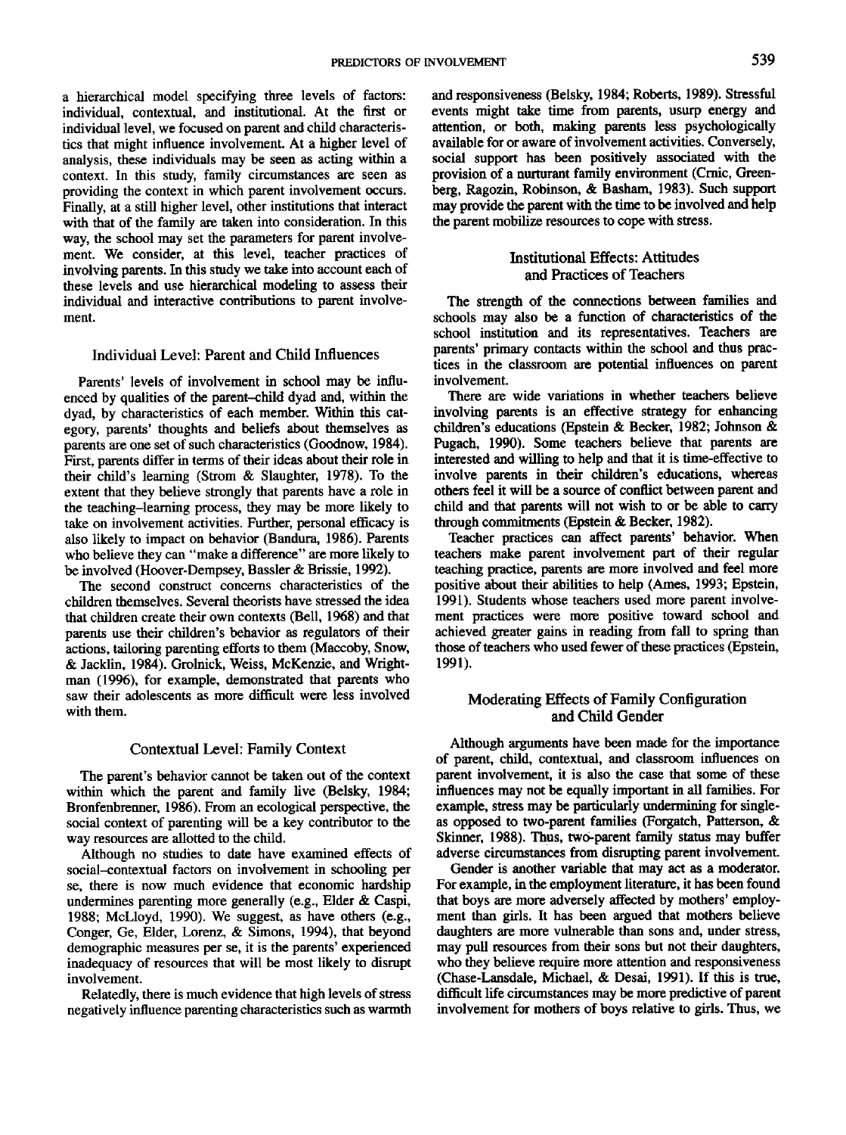a hierarchical model specifying three levels of factors: individual, contextual, and institutional. At the first or individual level, we focused on parent and child characteristics that might influence involvement. At a higher level of analysis, these individuals may be seen as acting within a context. In this study, family circumstances are seen as providing the context in which parent involvement occurs. Finally, at a still higher level, other institutions that interact with that of the family are taken into consideration. In this way, the school may set the parameters for parent involvement. We consider, at this level, teacher practices of involving parents. In this study we take into account each of these levels and use hierarchical modeling to assess their individual and interactive contributions to parent involvement.

# Individual Level: Parent and Child Influences

Parents' levels of involvement in school may be influenced by qualities of the parent-child dyad and, within the dyad, by characteristics of each member. Within this category, parents' thoughts and beliefs about themselves as parents are one set of such characteristics (Goodnow, 1984). First, parents differ in terms of their ideas about their role in their child's learning (Strom & Slaughter, 1978). To the extent that they believe strongly that parents have a role in the teaching-learning process, they may be more likely to take on involvement activities. Further, personal efficacy is also likely to impact on behavior (Bandura, 1986). Parents who believe they can "make a difference" are more likely to be involved (Hoover-Dempsey, Bassler & Brissie, 1992).

The second construct concerns characteristics of the children themselves. Several theorists have stressed the idea that children create their own contexts (Bell, 1968) and that parents use their children's behavior as regulators of their actions, tailoring parenting efforts to them (Maccoby, Snow, & Jacklin, 1984). Grolnick, Weiss, McKenzie, and Wrightman (1996), for example, demonstrated that parents who saw their adolescents as more difficult were less involved with them.

#### Contextual Level: Family Context

The parent's behavior cannot be taken out of the context within which the parent and family live (Belsky, 1984; Bronfenbrenner, 1986). From an ecological perspective, the social context of parenting will be a key contributor to the way resources are allotted to the child.

Although no studies to date have examined effects of social-contextual factors on involvement in schooling per se, there is now much evidence that economic hardship undermines parenting more generally (e.g., Elder & Caspi, 1988; McLloyd, 1990). We suggest, as have others (e.g., Conger, Ge, Elder, Lorenz, & Simons, 1994), that beyond demographic measures per se, it is the parents' experienced inadequacy of resources that will be most likely to disrupt involvement.

Relatedly, there is much evidence that high levels of stress negatively influence parenting characteristics such as warmth and responsiveness (Belsky, 1984; Roberts, 1989). Stressful events might take time from parents, usurp energy and attention, or both, making parents less psychologically available for or aware of involvement activities. Conversely, social support has been positively associated with the provision of a nurturant family environment (Crnic, Greenberg, Ragozin, Robinson, & Basham, 1983). Such support may provide the parent with the time to be involved and help the parent mobilize resources to cope with stress.

# Institutional Effects: Attitudes and Practices of Teachers

The strength of the connections between families and schools may also be a function of characteristics of the school institution and its representatives. Teachers are parents' primary contacts within the school and thus practices in the classroom are potential influences on parent involvement.

There are wide variations in whether teachers believe involving parents is an effective strategy for enhancing children's educations (Epstein & Becker, 1982; Johnson & Pugach, 1990). Some teachers believe that parents are interested and willing to help and that it is time-effective to involve parents in their children's educations, whereas others feel it will be a source of conflict between parent and child and that parents will not wish to or be able to carry through commitments (Epstein & Becker, 1982).

Teacher practices can affect parents' behavior. When teachers make parent involvement part of their regular teaching practice, parents are more involved and feel more positive about their abilities to help (Ames, 1993; Epstein, 1991). Students whose teachers used more parent involvement practices were more positive toward school and achieved greater gains in reading from fall to spring than those of teachers who used fewer of these practices (Epstein, 1991).

# Moderating Effects of Family Configuration and Child Gender

Although arguments have been made for the importance of parent, child, contextual, and classroom influences on parent involvement, it is also the case that some of these influences may not be equally important in all families. For example, stress may be particularly undermining for singleas opposed to two-parent families (Forgatch, Patterson, & Skinner, 1988). Thus, two-parent family status may buffer adverse circumstances from disrupting parent involvement.

Gender is another variable that may act as a moderator. For example, in the employment literature, it has been found that boys are more adversely affected by mothers' employment than girls. It has been argued that mothers believe daughters are more vulnerable than sons and, under stress, may pull resources from their sons but not their daughters, who they believe require more attention and responsiveness (Chase-Lansdale, Michael, & Desai, 1991). If this is true, difficult life circumstances may be more predictive of parent involvement for mothers of boys relative to girls. Thus, we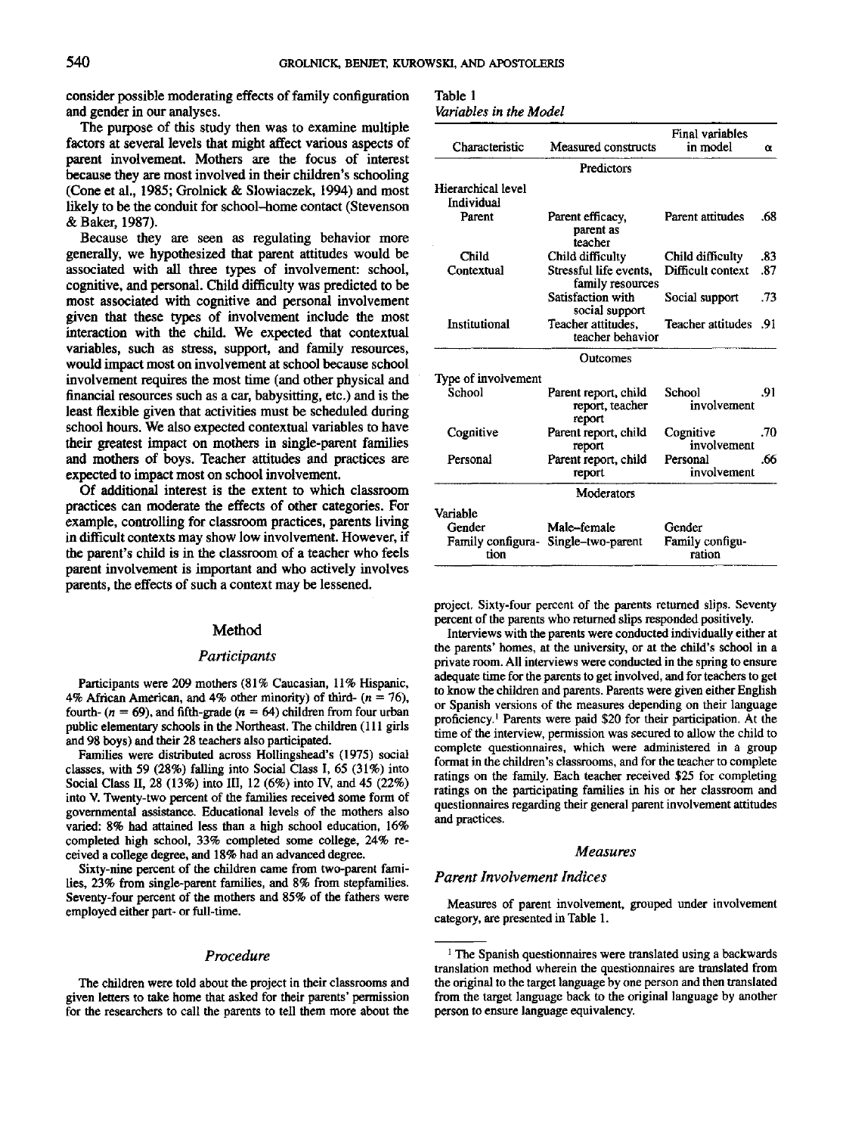consider possible moderating effects of family configuration and gender in our analyses.

The purpose of this study then was to examine multiple factors at several levels that might affect various aspects of parent involvement. Mothers are the focus of interest because they are most involved in their children's schooling (Cone et al., 1985; Grolnick & Slowiaczek, 1994) and most likely to be the conduit for school-home contact (Stevenson & Baker, 1987).

Because they are seen as regulating behavior more generally, we hypothesized that parent attitudes would be associated with all three types of involvement: school, cognitive, and personal. Child difficulty was predicted to be most associated with cognitive and personal involvement given that these types of involvement include the most interaction with the child. We expected that contextual variables, such as stress, support, and family resources, would impact most on involvement at school because school involvement requires the most time (and other physical and financial resources such as a car, babysitting, etc.) and is the least flexible given that activities must be scheduled during school hours. We also expected contextual variables to have their greatest impact on mothers in single-parent families and mothers of boys. Teacher attitudes and practices are expected to impact most on school involvement.

Of additional interest is the extent to which classroom practices can moderate the effects of other categories. For example, controlling for classroom practices, parents living in difficult contexts may show low involvement. However, if the parent's child is in the classroom of a teacher who feels parent involvement is important and who actively involves parents, the effects of such a context may be lessened.

## Method

# *Participants*

Participants were 209 mothers (81% Caucasian, 11% Hispanic, 4% African American, and 4% other minority) of third-  $(n = 76)$ , fourth- $(n = 69)$ , and fifth-grade  $(n = 64)$  children from four urban public elementary schools in the Northeast. The children (111 girls and 98 boys) and their 28 teachers also participated.

Families were distributed across Hollingshead's (1975) social classes, with 59 (28%) falling into Social Class I, 65 (31%) into Social Class II, 28 (13%) into III, 12 (6%) into IV, and 45 (22%) into V. Twenty-two percent of the families received some form of governmental assistance. Educational levels of the mothers also varied: 8% had attained less than a high school education, 16% completed high school, 33% completed some college, 24% received a college degree, and 18% had an advanced degree.

Sixty-nine percent of the children came from two-parent families, 23% from single-parent families, and 8% from stepfamilies. Seventy-four percent of the mothers and 85% of the fathers were employed either part- or full-time.

### *Procedure*

The children were told about the project in their classrooms and given letters to take home that asked for their parents' permission for the researchers to call the parents to tell them more about the

| Table 1                |  |  |
|------------------------|--|--|
| Variables in the Model |  |  |

| Characteristic                   | Measured constructs                               | Final variables<br>in model | α   |
|----------------------------------|---------------------------------------------------|-----------------------------|-----|
|                                  | Predictors                                        |                             |     |
| Hierarchical level<br>Individual |                                                   |                             |     |
| Parent                           | Parent efficacy,<br>parent as<br>teacher          | Parent attitudes            | .68 |
| Child                            | Child difficulty                                  | Child difficulty            | .83 |
| Contextual                       | Stressful life events,<br>family resources        | Difficult context           | .87 |
|                                  | Satisfaction with<br>social support               | Social support              | .73 |
| Institutional                    | Teacher attitudes.<br>teacher behavior            | Teacher attitudes           | .91 |
|                                  | <b>Outcomes</b>                                   |                             |     |
| Type of involvement              |                                                   |                             |     |
| School                           | Parent report, child<br>report, teacher<br>report | School<br>involvement       | .91 |
| Cognitive                        | Parent report, child<br>report                    | Cognitive<br>involvement    | .70 |
| Personal                         | Parent report, child<br>report                    | Personal<br>involvement     | .66 |
|                                  | Moderators                                        |                             |     |
| Variable                         |                                                   |                             |     |
| Gender                           | Male-female                                       | Gender                      |     |
| Family configura-<br>tion        | Single-two-parent                                 | Family configu-<br>ration   |     |

project. Sixty-four percent of the parents returned slips. Seventy percent of the parents who returned slips responded positively.

Interviews with the parents were conducted individually either at the parents' homes, at the university, or at the child's school in a private room. All interviews were conducted in the spring to ensure adequate time for the parents to get involved, and for teachers to get to know the children and parents. Parents were given either English or Spanish versions of the measures depending on their language proficiency.<sup>1</sup> Parents were paid \$20 for their participation. At the time of the interview, permission was secured to allow the child to complete questionnaires, which were administered in a group format in the children's classrooms, and for the teacher to complete ratings on the family. Each teacher received \$25 for completing ratings on the participating families in his or her classroom and questionnaires regarding their general parent involvement attitudes and practices.

## *Measures*

# *Parent Involvement Indices*

Measures of parent involvement, grouped under involvement category, are presented in Table 1.

<sup>&</sup>lt;sup>1</sup> The Spanish questionnaires were translated using a backwards translation method wherein the questionnaires are translated from the original to the target language by one person and then translated from the target language back to the original language by another person to ensure language equivalency.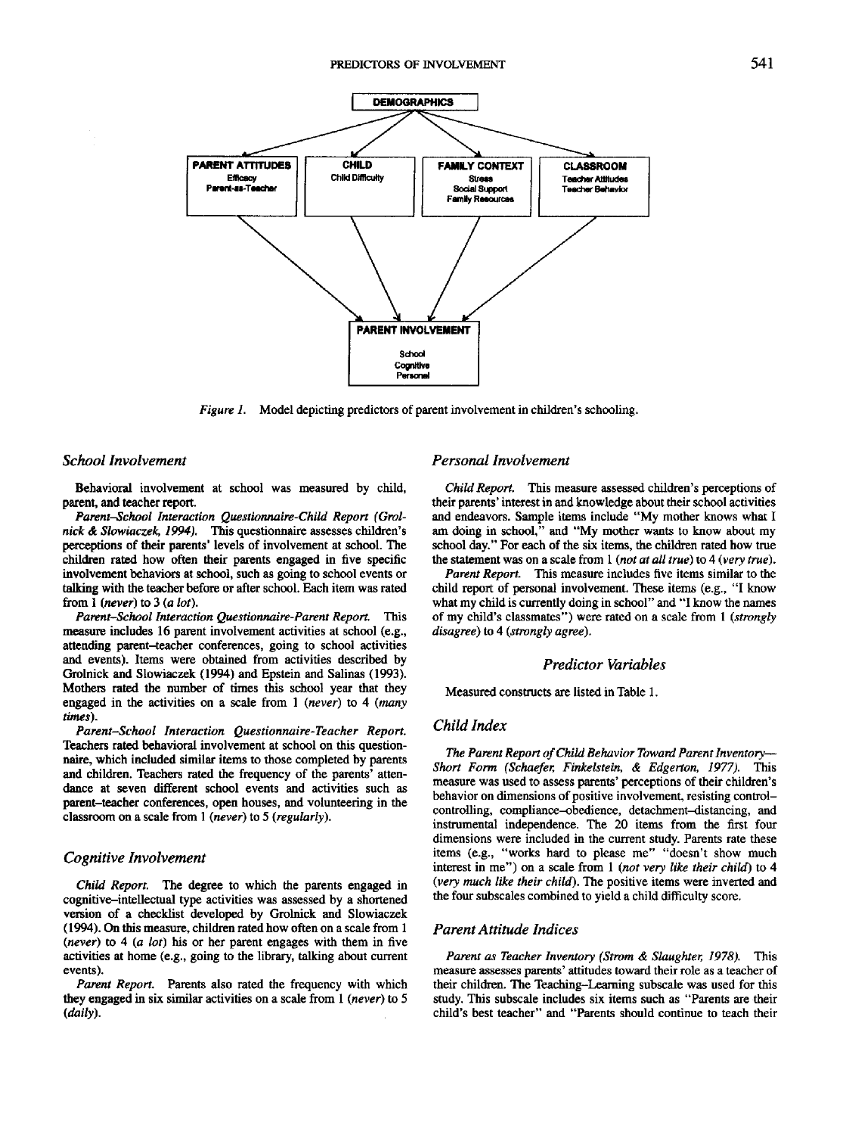

*Figure 1.* Model depicting predictors of parent involvement in children's schooling.

#### *School Involvement*

Behavioral involvement at school was measured by child, parent, and teacher report.

*Parent-School Interaction Questionnaire-Child Report (Grolnick & Slowiaczek, 1994).* This questionnaire assesses children's perceptions of their parents' levels of involvement at school. The children rated how often their parents engaged in five specific involvement behaviors at school, such as going to school events or talking with the teacher before or after school. Each item was rated from 1 *{never)* to 3 *(a lot).*

*Parent-School Interaction Questionnaire-Parent Report.* This measure includes 16 parent involvement activities at school (e.g., attending parent-teacher conferences, going to school activities and events). Items were obtained from activities described by Grolnick and Slowiaczek (1994) and Epstein and Salinas (1993). Mothers rated the number of times this school year that they engaged in the activities on a scale from 1 *(never)* to 4 *(many times).*

*Parent-School Interaction Questionnaire-Teacher Report.* Teachers rated behavioral involvement at school on this questionnaire, which included similar items to those completed by parents and children. Teachers rated the frequency of the parents' attendance at seven different school events and activities such as parent-teacher conferences, open houses, and volunteering in the classroom on a scale from 1 *(never)* to 5 *(regularly).*

# *Cognitive Involvement*

*Child Report.* The degree to which the parents engaged in cognitive-intellectual type activities was assessed by a shortened version of a checklist developed by Grolnick and Slowiaczek (1994). On this measure, children rated how often on a scale from 1 *(never)* to 4 (a *lot)* his or her parent engages with them in five activities at home (e.g., going to the library, talking about current events).

*Parent Report.* Parents also rated the frequency with which they engaged in six similar activities on a scale from 1 *(never)* to 5 *(daily).*

# *Personal Involvement*

*Child Report.* This measure assessed children's perceptions of their parents' interest in and knowledge about their school activities and endeavors. Sample items include "My mother knows what I am doing in school," and "My mother wants to know about my school day." For each of the six items, the children rated how true the statement was on a scale from 1 *(not at all true)* to 4 *(very true).*

*Parent Report.* This measure includes five items similar to the child report of personal involvement. These items (e.g., "I know what my child is currently doing in school" and "I know the names of my child's classmates") were rated on a scale from 1 *(strongly disagree)* to 4 *(strongly agree).*

# *Predictor Variables*

Measured constructs are listed in Table 1.

# *Child Index*

*The Parent Report of Child Behavior Toward Parent Inventory*— *Short Form (Schaefer, Finkelstein, & Edgerton, 1977).* This measure was used to assess parents' perceptions of their children's behavior on dimensions of positive involvement, resisting controlcontrolling, compliance-obedience, detachment-distancing, and instrumental independence. The 20 items from the first four dimensions were included in the current study. Parents rate these items (e.g., "works hard to please me" "doesn't show much interest in me") on a scale from 1 *(not very like their child)* to 4 *(very much like their child).* The positive items were inverted and the four subscales combined to yield a child difficulty score.

#### *Parent Attitude Indices*

*Parent as Teacher Inventory (Strom & Slaughter, 1978).* This measure assesses parents' attitudes toward their role as a teacher of their children. The Teaching-Learning subscale was used for this study. This subscale includes six items such as "Parents are their child's best teacher" and "Parents should continue to teach their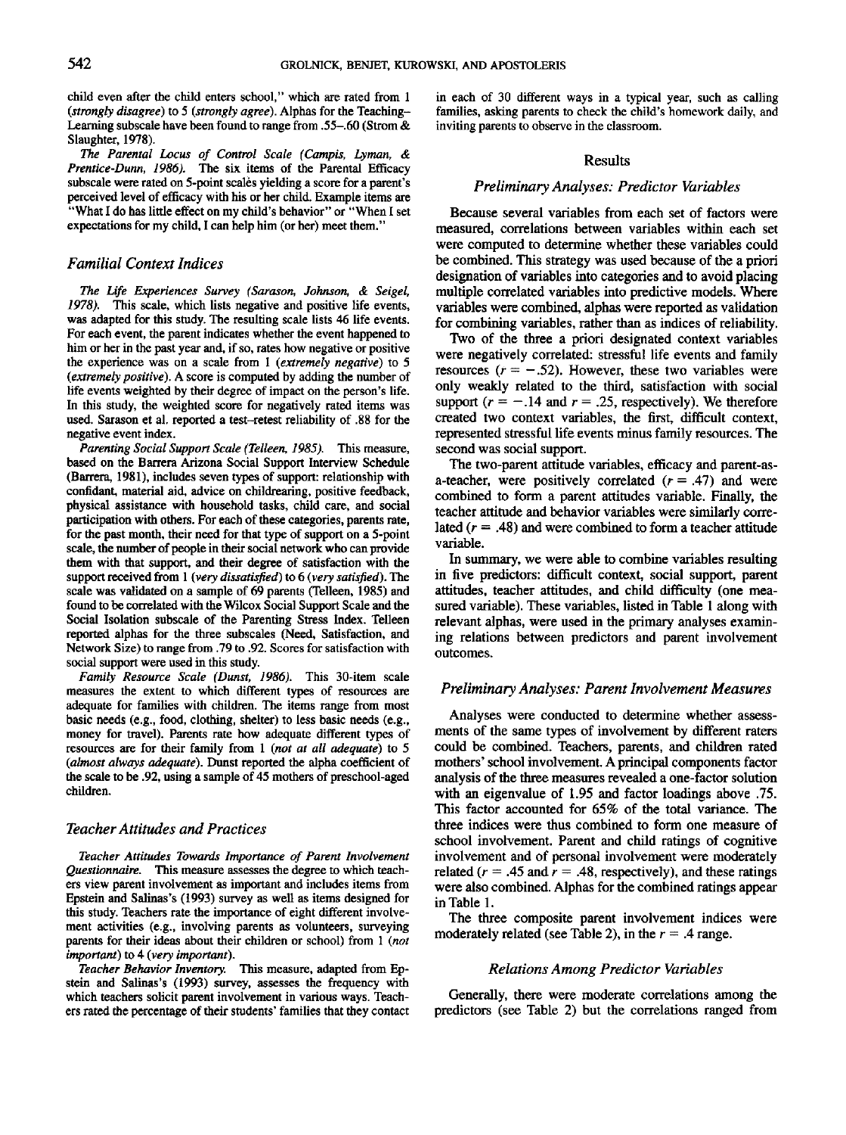child even after the child enters school," which are rated from 1 *(strongly disagree)* to 5 *(strongly agree).* Alphas for the Teaching-Learning subscale have been found to range from .55-.60 (Strom & Slaughter, 1978).

*The Parental Locus of Control Scale (Campis, Lyman, & Prentice-Dunn, 1986).* The six items of the Parental Efficacy subscale were rated on 5-point scales yielding a score for a parent's perceived level of efficacy with his or her child. Example items are "What I do has little effect on my child's behavior" or "When I set expectations for my child, I can help him (or her) meet them."

# *Familial Context Indices*

*The Life Experiences Survey (Sarason, Johnson, & Seigel, 1978).* This scale, which lists negative and positive life events, was adapted for this study. The resulting scale lists 46 life events. For each event, the parent indicates whether the event happened to him or her in the past year and, if so, rates how negative or positive the experience was on a scale from 1 *(extremely negative)* to 5 *(extremely positive),* A score is computed by adding the number of life events weighted by their degree of impact on the person's life. In this study, the weighted score for negatively rated items was used. Sarason et al. reported a test-retest reliability of .88 for the negative event index.

*Parenting Social Support Scale (Telleen, 1985).* This measure, based on the Barrera Arizona Social Support Interview Schedule (Barrera, 1981), includes seven types of support: relationship with confidant, material aid, advice on childrearing, positive feedback, physical assistance with household tasks, child care, and social participation with others. For each of these categories, parents rate, for the past month, their need for that type of support on a 5-point scale, the number of people in their social network who can provide them with that support, and their degree of satisfaction with the support received from 1 *(very dissatisfied)* to 6 *(very satisfied).* The scale was validated on a sample of 69 parents (Telleen, 1985) and found to be correlated with the Wilcox Social Support Scale and the Social Isolation subscale of the Parenting Stress Index. Telleen reported alphas for the three subscales (Need, Satisfaction, and Network Size) to range from .79 to .92. Scores for satisfaction with social support were used in this study.

*Family Resource Scale (Dunst, 1986).* This 30-item scale measures the extent to which different types of resources are adequate for families with children. The items range from most basic needs (e.g., food, clothing, shelter) to less basic needs (e.g., money for travel). Parents rate how adequate different types of resources are for their family from 1 *(not at alt adequate)* to 5 *(almost always adequate).* Dunst reported the alpha coefficient of the scale to be .92, using a sample of 45 mothers of preschool-aged children.

# *Teacher Attitudes and Practices*

*Teacher Attitudes Towards Importance of Parent Involvement Questionnaire.* This measure assesses the degree to which teachers view parent involvement as important and includes items from Epstein and Salinas's (1993) survey as well as items designed for this study. Teachers rate the importance of eight different involvement activities (e.g., involving parents as volunteers, surveying parents for their ideas about their children or school) from 1 *(not important)* to 4 *(very important).*

*Teacher Behavior Inventory.* This measure, adapted from Epstein and Salinas's (1993) survey, assesses the frequency with which teachers solicit parent involvement in various ways. Teachers rated the percentage of their students' families that they contact in each of 30 different ways in a typical year, such as calling families, asking parents to check the child's homework daily, and inviting parents to observe in the classroom.

## **Results**

# *Preliminary Analyses: Predictor Variables*

Because several variables from each set of factors were measured, correlations between variables within each set were computed to determine whether these variables could be combined. This strategy was used because of the a priori designation of variables into categories and to avoid placing multiple correlated variables into predictive models. Where variables were combined, alphas were reported as validation for combining variables, rather than as indices of reliability.

Two of the three a priori designated context variables were negatively correlated: stressful life events and family resources  $(r = -.52)$ . However, these two variables were only weakly related to the third, satisfaction with social support  $(r = -.14$  and  $r = .25$ , respectively). We therefore created two context variables, the first, difficult context, represented stressful life events minus family resources. The second was social support.

The two-parent attitude variables, efficacy and parent-asa-teacher, were positively correlated  $(r = .47)$  and were combined to form a parent attitudes variable. Finally, the teacher attitude and behavior variables were similarly correlated  $(r = .48)$  and were combined to form a teacher attitude variable.

In summary, we were able to combine variables resulting in five predictors: difficult context, social support, parent attitudes, teacher attitudes, and child difficulty (one measured variable). These variables, listed in Table 1 along with relevant alphas, were used in the primary analyses examining relations between predictors and parent involvement outcomes.

# *Preliminary Analyses: Parent Involvement Measures*

Analyses were conducted to determine whether assessments of the same types of involvement by different raters could be combined. Teachers, parents, and children rated mothers' school involvement. A principal components factor analysis of the three measures revealed a one-factor solution with an eigenvalue of 1.95 and factor loadings above .75. This factor accounted for 65% of the total variance. The three indices were thus combined to form one measure of school involvement. Parent and child ratings of cognitive involvement and of personal involvement were moderately related ( $r = .45$  and  $r = .48$ , respectively), and these ratings were also combined. Alphas for the combined ratings appear in Table 1.

The three composite parent involvement indices were moderately related (see Table 2), in the  $r = .4$  range.

#### *Relations Among Predictor Variables*

Generally, there were moderate correlations among the predictors (see Table 2) but the correlations ranged from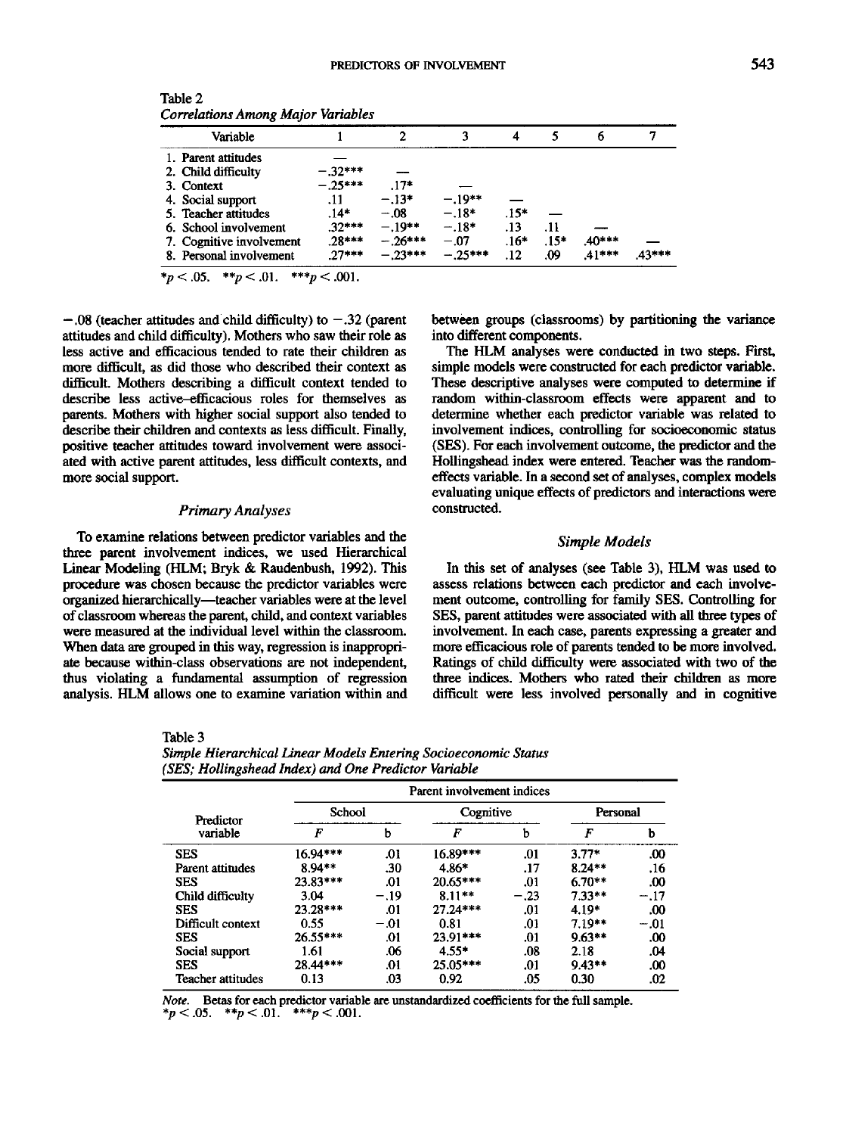| Variable                 |           |           |          |        |        | 6       |       |
|--------------------------|-----------|-----------|----------|--------|--------|---------|-------|
| 1. Parent attitudes      |           |           |          |        |        |         |       |
| 2. Child difficulty      | $-.32***$ |           |          |        |        |         |       |
| 3. Context               | $-.25***$ | $.17*$    |          |        |        |         |       |
| 4. Social support        | .11       | $-.13*$   | $-.19**$ |        |        |         |       |
| 5. Teacher attitudes     | $.14*$    | $-.08$    | $-.18*$  | $.15*$ |        |         |       |
| 6. School involvement    | $.32***$  | $-.19**$  | $-.18*$  | .13    | . 11   |         |       |
| 7. Cognitive involvement | $28***$   | $-.26***$ | $-.07$   | $.16*$ | $.15*$ | .40***  |       |
| 8. Personal involvement  | $27***$   | $-23***$  | $-25***$ | .12    | .09    | $41***$ | 43*** |

Table 2 *Correlations Among Major Variables*

 $*_p$  < .05.  $*_p$  < .01.  $**_p$  < .001.

 $-.08$  (teacher attitudes and child difficulty) to  $-.32$  (parent attitudes and child difficulty). Mothers who saw their role as less active and efficacious tended to rate their children as more difficult, as did those who described their context as difficult Mothers describing a difficult context tended to describe less active-efficacious roles for themselves as parents. Mothers with higher social support also tended to describe their children and contexts as less difficult. Finally, positive teacher attitudes toward involvement were associated with active parent attitudes, less difficult contexts, and more social support.

#### *Primary Analyses*

To examine relations between predictor variables and the three parent involvement indices, we used Hierarchical Linear Modeling (HLM; Bryk & Raudenbush, 1992). This procedure was chosen because the predictor variables were organized hierarchically—teacher variables were at the level of classroom whereas the parent, child, and context variables were measured at the individual level within the classroom. When data are grouped in this way, regression is inappropriate because within-class observations are not independent, thus violating a fundamental assumption of regression analysis. HLM allows one to examine variation within and between groups (classrooms) by partitioning the variance into different components.

The HLM analyses were conducted in two steps. First, simple models were constructed for each predictor variable. These descriptive analyses were computed to determine if random within-classroom effects were apparent and to determine whether each predictor variable was related to involvement indices, controlling for socioeconomic status (SES). For each involvement outcome, the predictor and the Hollingshead index were entered. Teacher was the randomeffects variable. In a second set of analyses, complex models evaluating unique effects of predictors and interactions were constructed.

# *Simple Models*

In this set of analyses (see Table 3), HLM was used to assess relations between each predictor and each involvement outcome, controlling for family SES. Controlling for SES, parent attitudes were associated with all three types of involvement. In each case, parents expressing a greater and more efficacious role of parents tended to be more involved. Ratings of child difficulty were associated with two of the three indices. Mothers who rated their children as more difficult were less involved personally and in cognitive

Table 3

| Simple Hierarchical Linear Models Entering Socioeconomic Status |  |
|-----------------------------------------------------------------|--|
| (SES; Hollingshead Index) and One Predictor Variable            |  |

|                   | Parent involvement indices |        |            |        |          |        |  |
|-------------------|----------------------------|--------|------------|--------|----------|--------|--|
| Predictor         | School                     |        | Cognitive  |        | Personal |        |  |
| variable          | F                          | b      | F          | ь      | F        | b      |  |
| <b>SES</b>        | 16.94***                   | .01    | $16.89***$ | .01    | $3.77*$  | .00    |  |
| Parent attitudes  | 8.94**                     | .30    | 4.86*      | .17    | $8.24**$ | .16    |  |
| <b>SES</b>        | 23.83***                   | .01    | $20.65***$ | .01    | $6.70**$ | .00    |  |
| Child difficulty  | 3.04                       | $-.19$ | $8.11**$   | $-.23$ | $7.33**$ | $-.17$ |  |
| <b>SES</b>        | 23.28***                   | .01    | $27.24***$ | .01    | 4.19*    | .00    |  |
| Difficult context | 0.55                       | $-.01$ | 0.81       | .01    | $7.19**$ | $-.01$ |  |
| <b>SES</b>        | $26.55***$                 | .01    | $23.91***$ | .01    | $9.63**$ | .00    |  |
| Social support    | 1.61                       | .06    | $4.55*$    | .08    | 2.18     | .04    |  |
| <b>SES</b>        | 28.44***                   | .01    | $25.05***$ | .01    | $9.43**$ | .00    |  |
| Teacher attitudes | 0.13                       | .03    | 0.92       | .05    | 0.30     | .02    |  |

*Note.* Betas for each predictor variable are unstandardized coefficients for the full sample.  $*_{p}$  < .05.  $*_{p}$  < .01.  $*_{p}$  < .001.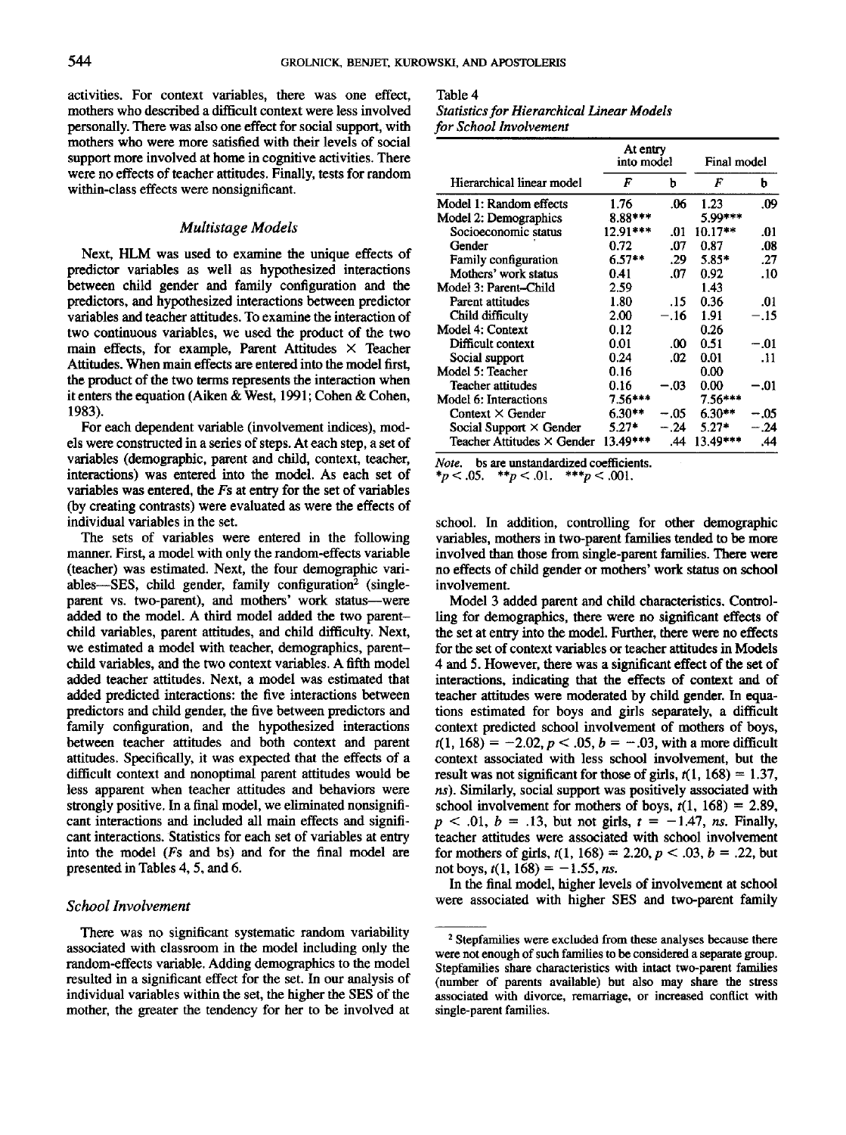activities. For context variables, there was one effect, mothers who described a difficult context were less involved personally. There was also one effect for social support, with mothers who were more satisfied with their levels of social support more involved at home in cognitive activities. There were no effects of teacher attitudes. Finally, tests for random within-class effects were nonsignificant.

# *Multistage Models*

Next, HLM was used to examine the unique effects of predictor variables as well as hypothesized interactions between child gender and family configuration and the predictors, and hypothesized interactions between predictor variables and teacher attitudes. To examine the interaction of two continuous variables, we used the product of the two main effects, for example, Parent Attitudes  $\times$  Teacher Attitudes. When main effects are entered into the model first, the product of the two terms represents the interaction when it enters the equation (Aiken *&* West, 1991; Cohen & Cohen, 1983).

For each dependent variable (involvement indices), models were constructed in a series of steps. At each step, a set of variables (demographic, parent and child, context, teacher, interactions) was entered into the model. As each set of variables was entered, the Fs at entry for the set of variables (by creating contrasts) were evaluated as were the effects of individual variables in the set.

The sets of variables were entered in the following manner. First, a model with only the random-effects variable (teacher) was estimated. Next, the four demographic variables—SES, child gender, family configuration<sup>2</sup> (singleparent vs. two-parent), and mothers' work status--were added to the model. A third model added the two parentchild variables, parent attitudes, and child difficulty. Next, we estimated a model with teacher, demographics, parentchild variables, and the two context variables. A fifth model added teacher attitudes. Next, a model was estimated that added predicted interactions: the five interactions between predictors and child gender, the five between predictors and family configuration, and the hypothesized interactions between teacher attitudes and both context and parent attitudes. Specifically, it was expected that the effects of a difficult context and nonoptimal parent attitudes would be less apparent when teacher attitudes and behaviors were strongly positive. In a final model, we eliminated nonsignificant interactions and included all main effects and significant interactions. Statistics for each set of variables at entry into the model *(Fs* and bs) and for the final model are presented in Tables 4, 5, and 6.

#### *School Involvement*

There was no significant systematic random variability associated with classroom in the model including only the random-effects variable. Adding demographics to the model resulted in a significant effect for the set. In our analysis of individual variables within the set, the higher the SES of the mother, the greater the tendency for her to be involved at

# Table 4 *Statistics for Hierarchical Linear Models for School Involvement*

|                                | At entry<br>into model |        | Final model |        |
|--------------------------------|------------------------|--------|-------------|--------|
| Hierarchical linear model      | F                      | b      | F           | ь      |
| Model 1: Random effects        | 1.76                   | .06    | 1.23        | .09    |
| Model 2: Demographics          | 8.88***                |        | 5.99***     |        |
| Socioeconomic status           | 12.91***               | .01    | $10.17**$   | .01    |
| Gender                         | 0.72                   | .07    | 0.87        | .08    |
| Family configuration           | $6.57**$               | .29    | $5.85*$     | .27    |
| Mothers' work status           | 0.41                   | .07    | 0.92        | .10    |
| Model 3: Parent-Child          | 2.59                   |        | 1.43        |        |
| Parent attitudes               | 1.80                   | .15    | 0.36        | .01    |
| Child difficulty               | 2.00                   | $-.16$ | 1.91        | $-.15$ |
| Model 4: Context               | 0.12                   |        | 0.26        |        |
| Difficult context              | 0.01                   | .00    | 0.51        | $-.01$ |
| Social support                 | 0.24                   | .02    | 0.01        | .11    |
| Model 5: Teacher               | 0.16                   |        | 0.00        |        |
| Teacher attitudes              | 0.16                   | -.03   | 0.00        | -.01   |
| Model 6: Interactions          | $7.56***$              |        | $7.56***$   |        |
| Context $\times$ Gender        | $6.30**$               | $-.05$ | $6.30**$    | -.05   |
| Social Support $\times$ Gender | $5.27*$                | $-.24$ | $5.27*$     | - 24   |
| Teacher Attitudes × Gender     | 13.49***               | .44    | 13.49***    | .44    |

*Note,* bs are unstandardized coefficients.

 $*_{p}$  < .05.  $*_{p}$  < .01.  $*_{p}$  < .001.

school. In addition, controlling for other demographic variables, mothers in two-parent families tended to be more involved than those from single-parent families. There were no effects of child gender or mothers' work status on school involvement.

Model 3 added parent and child characteristics. Controlling for demographics, there were no significant effects of the set at entry into the model. Further, there were no effects for the set of context variables or teacher attitudes in Models 4 and 5. However, there was a significant effect of the set of interactions, indicating that the effects of context and of teacher attitudes were moderated by child gender. In equations estimated for boys and girls separately, a difficult context predicted school involvement of mothers of boys,  $f(1, 168) = -2.02, p < .05, b = -.03$ , with a more difficult context associated with less school involvement, but the result was not significant for those of girls,  $t(1, 168) = 1.37$ , *ns).* Similarly, social support was positively associated with school involvement for mothers of boys,  $t(1, 168) = 2.89$ ,  $p < .01, b = .13$ , but not girls,  $t = -1.47$ , *ns.* Finally, teacher attitudes were associated with school involvement for mothers of girls,  $t(1, 168) = 2.20, p < .03, b = .22$ , but not boys,  $t(1, 168) = -1.55$ , *ns.* 

In the final model, higher levels of involvement at school were associated with higher SES and two-parent family

<sup>&</sup>lt;sup>2</sup> Stepfamilies were excluded from these analyses because there were not enough of such families to be considered a separate group. Stepfamilies share characteristics with intact two-parent families (number of parents available) but also may share the stress associated with divorce, remarriage, or increased conflict with single-parent families.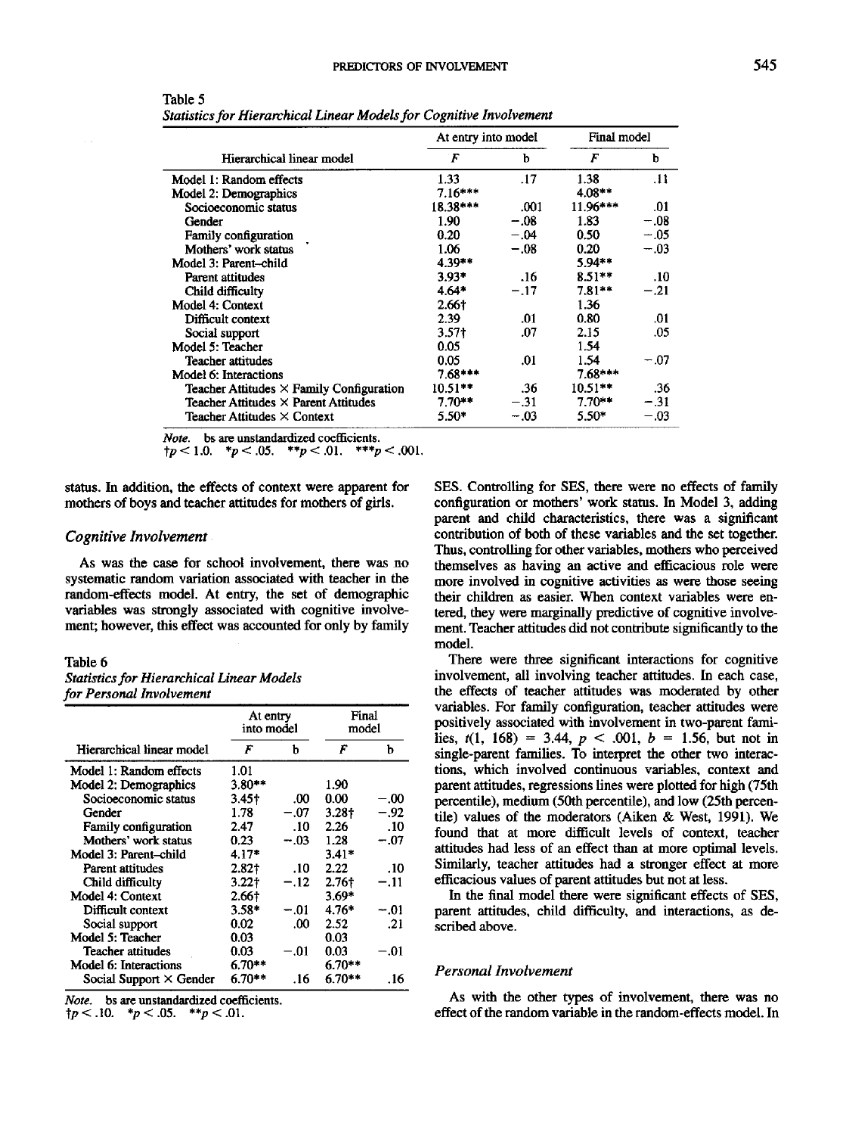|                                                 | At entry into model |        | Final model       |        |
|-------------------------------------------------|---------------------|--------|-------------------|--------|
| Hierarchical linear model                       | F                   | b      | F                 | b      |
| Model 1: Random effects                         | 1.33                | .17    | 1.38              | .11    |
| Model 2: Demographics                           | $7.16***$           |        | $4.08**$          |        |
| Socioeconomic status                            | 18.38***            | .001   | 11.96***          | .01    |
| Gender                                          | 1.90                | $-.08$ | 1.83              | $-.08$ |
| Family configuration                            | 0.20                | $-.04$ | 0.50 <sub>1</sub> | $-.05$ |
| Mothers' work status                            | 1.06                | $-.08$ | 0.20              | $-.03$ |
| Model 3: Parent-child                           | 4.39**              |        | 5.94**            |        |
| Parent attitudes                                | $3.93*$             | .16    | $8.51**$          | .10    |
| Child difficulty                                | $4.64*$             | $-.17$ | $7.81**$          | $-.21$ |
| Model 4: Context                                | 2.66†               |        | 1.36              |        |
| Difficult context                               | 2.39                | .01    | 0.80              | .01    |
| Social support                                  | 3.57†               | .07    | 2.15              | .05    |
| Model 5: Teacher                                | 0.05                |        | 1.54              |        |
| Teacher attitudes                               | 0.05                | .01    | 1.54              | $-.07$ |
| Model 6: Interactions                           | $7.68***$           |        | $7.68***$         |        |
| Teacher Attitudes $\times$ Family Configuration | $10.51**$           | .36    | $10.51**$         | .36    |
| Teacher Attitudes $\times$ Parent Attitudes     | $7.70**$            | $-.31$ | $7.70**$          | $-.31$ |
| Teacher Attitudes $\times$ Context              | $5.50*$             | $-.03$ | 5.50*             | $-.03$ |

Table 5 *Statistics for Hierarchical Linear Models for Cognitive Involvement*

*Note,* bs are unstandardized coefficients.

 ${\uparrow}p<1.0.$  \* $p<.05.$  \*\* $p<.01.$  \*\*\* $p<.001.$ 

status. In addition, the effects of context were apparent for mothers of boys and teacher attitudes for mothers of girls.

#### *Cognitive Involvement*

As was the case for school involvement, there was no systematic random variation associated with teacher in the random-effects model. At entry, the set of demographic variables was strongly associated with cognitive involvement; however, this effect was accounted for only by family

#### Table 6

| <b>Statistics for Hierarchical Linear Models</b> |  |
|--------------------------------------------------|--|
| for Personal Involvement                         |  |

|                                | At entry<br>into model |        | Final<br>model |        |
|--------------------------------|------------------------|--------|----------------|--------|
| Hierarchical linear model      | F                      | h      | F              | h      |
| Model 1: Random effects        | 1.01                   |        |                |        |
| Model 2: Demographics          | $3.80**$               |        | 1.90           |        |
| Socioeconomic status           | 3.45†                  | .00    | 0.00           | $-.00$ |
| Gender                         | 1.78                   | $-.07$ | 3.28†          | -.92   |
| Family configuration           | 2.47                   | .10    | 2.26           | .10    |
| Mothers' work status           | 0.23                   | $-.03$ | 1.28           | $-.07$ |
| Model 3: Parent-child          | $4.17*$                |        | $3.41*$        |        |
| Parent attitudes               | 2.82†                  | .10    | 2.22           | .10    |
| Child difficulty               | 3.221                  | $-.12$ | 2.76†          | $-.11$ |
| Model 4: Context               | 2.66†                  |        | $3.69*$        |        |
| Difficult context              | $3.58*$                | $-.01$ | 4.76*          | - 01   |
| Social support                 | 0.02                   | .00    | 2.52           | .21    |
| Model 5: Teacher               | 0.03                   |        | 0.03           |        |
| Teacher attitudes              | 0.03                   | -.01   | 0.03           | -.01   |
| Model 6: Interactions          | $6.70**$               |        | $6.70**$       |        |
| Social Support $\times$ Gender | ճ.70**                 | .16    | 6.70**         | .16    |

*Note,* bs are unstandardized coefficients

 $\dagger p < .10.$  \* $p < .05.$  \*\* $p < .01.$ 

SES. Controlling for SES, there were no effects of family configuration or mothers' work status. In Model 3, adding parent and child characteristics, there was a significant contribution of both of these variables and the set together. Thus, controlling for other variables, mothers who perceived themselves as having an active and efficacious role were more involved in cognitive activities as were those seeing their children as easier. When context variables were entered, they were marginally predictive of cognitive involvement. Teacher attitudes did not contribute significantly to the model.

There were three significant interactions for cognitive involvement, all involving teacher attitudes. In each case, the effects of teacher attitudes was moderated by other variables. For family configuration, teacher attitudes were positively associated with involvement in two-parent families,  $t(1, 168) = 3.44$ ,  $p < .001$ ,  $b = 1.56$ , but not in single-parent families. To interpret the other two interactions, which involved continuous variables, context and parent attitudes, regressions lines were plotted for high (75th percentile), medium (50th percentile), and low (25th percentile) values of the moderators (Aiken & West, 1991). We found that at more difficult levels of context, teacher attitudes had less of an effect than at more optimal levels. Similarly, teacher attitudes had a stronger effect at more efficacious values of parent attitudes but not at less.

In the final model there were significant effects of SES, parent attitudes, child difficulty, and interactions, as described above.

# *Personal Involvement*

As with the other types of involvement, there was no effect of the random variable in the random-effects model. In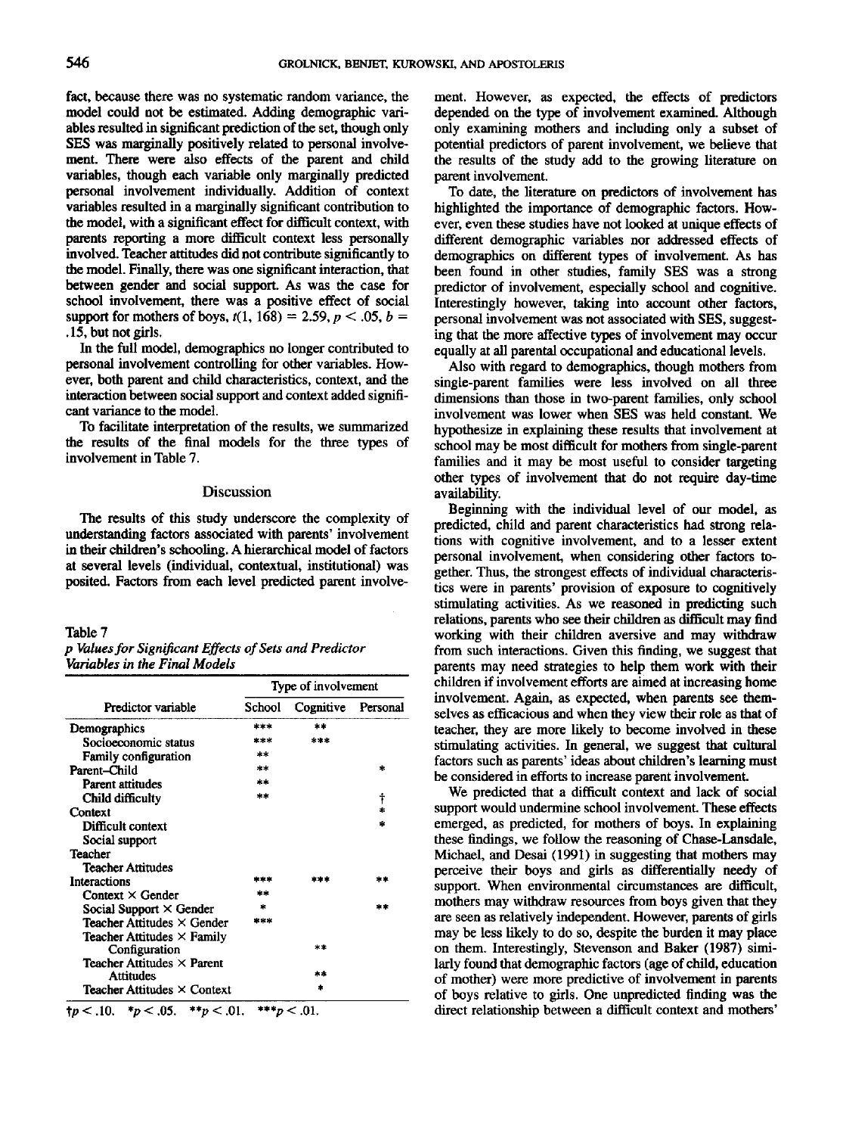fact, because there was no systematic random variance, the model could not be estimated. Adding demographic variables resulted in significant prediction of the set, though only SES was marginally positively related to personal involvement. There were also effects of the parent and child variables, though each variable only marginally predicted personal involvement individually. Addition of context variables resulted in a marginally significant contribution to the model, with a significant effect for difficult context, with parents reporting a more difficult context less personally involved. Teacher attitudes did not contribute significantly to the model. Finally, there was one significant interaction, that between gender and social support. As was the case for school involvement, there was a positive effect of social support for mothers of boys,  $t(1, 168) = 2.59, p < .05, b =$ .15, but not girls.

In the full model, demographics no longer contributed to personal involvement controlling for other variables. However, both parent and child characteristics, context, and the interaction between social support and context added significant variance to the model.

To facilitate interpretation of the results, we summarized the results of the final models for the three types of involvement in Table 7.

# Discussion

The results of this study underscore the complexity of understanding factors associated with parents' involvement in their children's schooling. A hierarchical model of factors at several levels (individual, contextual, institutional) was posited. Factors from each level predicted parent involve-

#### Table 7

|                               | p Values for Significant Effects of Sets and Predictor |  |
|-------------------------------|--------------------------------------------------------|--|
| Variables in the Final Models |                                                        |  |

|                                                     | Type of involvement |           |          |  |
|-----------------------------------------------------|---------------------|-----------|----------|--|
| Predictor variable                                  | School              | Cognitive | Personal |  |
| Demographics                                        | ***                 | **        |          |  |
| Socioeconomic status                                | ***                 | ***       |          |  |
| <b>Family configuration</b>                         | **                  |           |          |  |
| Parent–Child                                        | **                  |           | ż.       |  |
| <b>Parent attitudes</b>                             | **                  |           |          |  |
| Child difficulty                                    | **                  |           | t        |  |
| Context                                             |                     |           |          |  |
| Difficult context                                   |                     |           |          |  |
| Social support                                      |                     |           |          |  |
| Teacher                                             |                     |           |          |  |
| <b>Teacher Attitudes</b>                            |                     |           |          |  |
| Interactions                                        | 2 S.K S.K           |           | SR XK    |  |
| Context $\times$ Gender                             | air she             |           |          |  |
| Social Support $\times$ Gender                      |                     |           | 宋定       |  |
| Teacher Attitudes $\times$ Gender                   | is se sis           |           |          |  |
| Teacher Attitudes $\times$ Family                   |                     |           |          |  |
| Configuration                                       |                     | 米津        |          |  |
| <b>Teacher Attitudes <math>\times</math> Parent</b> |                     |           |          |  |
| <b>Attitudes</b>                                    |                     | **        |          |  |
| Teacher Attitudes $\times$ Context                  |                     |           |          |  |

 $tp < .10$ .  $\frac{p}{q} < .05$ .  $\frac{p}{q} < .01$ .  $\frac{p}{q} < .01$ .

ment. However, as expected, the effects of predictors depended on the type of involvement examined. Although only examining mothers and including only a subset of potential predictors of parent involvement, we believe that the results of the study add to the growing literature on parent involvement.

To date, the literature on predictors of involvement has highlighted the importance of demographic factors. However, even these studies have not looked at unique effects of different demographic variables nor addressed effects of demographics on different types of involvement. As has been found in other studies, family SES was a strong predictor of involvement, especially school and cognitive. Interestingly however, taking into account other factors, personal involvement was not associated with SES, suggesting that the more affective types of involvement may occur equally at all parental occupational and educational levels.

Also with regard to demographics, though mothers from single-parent families were less involved on all three dimensions than those in two-parent families, only school involvement was lower when SES was held constant. We hypothesize in explaining these results that involvement at school may be most difficult for mothers from single-parent families and it may be most useful to consider targeting other types of involvement that do not require day-time availability.

Beginning with the individual level of our model, as predicted, child and parent characteristics had strong relations with cognitive involvement, and to a lesser extent personal involvement, when considering other factors together. Thus, the strongest effects of individual characteristics were in parents' provision of exposure to cognitively stimulating activities. As we reasoned in predicting such relations, parents who see their children as difficult may find working with their children aversive and may withdraw from such interactions. Given this finding, we suggest that parents may need strategies to help them work with their children if involvement efforts are aimed at increasing home involvement. Again, as expected, when parents see themselves as efficacious and when they view their role as that of teacher, they are more likely to become involved in these stimulating activities. In general, we suggest that cultural factors such as parents' ideas about children's learning must be considered in efforts to increase parent involvement.

We predicted that a difficult context and lack of social support would undermine school involvement. These effects emerged, as predicted, for mothers of boys. In explaining these findings, we follow the reasoning of Chase-Lansdale, Michael, and Desai (1991) in suggesting that mothers may perceive their boys and girls as differentially needy of support. When environmental circumstances are difficult, mothers may withdraw resources from boys given that they are seen as relatively independent. However, parents of girls may be less likely to do so, despite the burden it may place on them. Interestingly, Stevenson and Baker (1987) similarly found that demographic factors (age of child, education of mother) were more predictive of involvement in parents of boys relative to girls. One unpredicted finding was the direct relationship between a difficult context and mothers'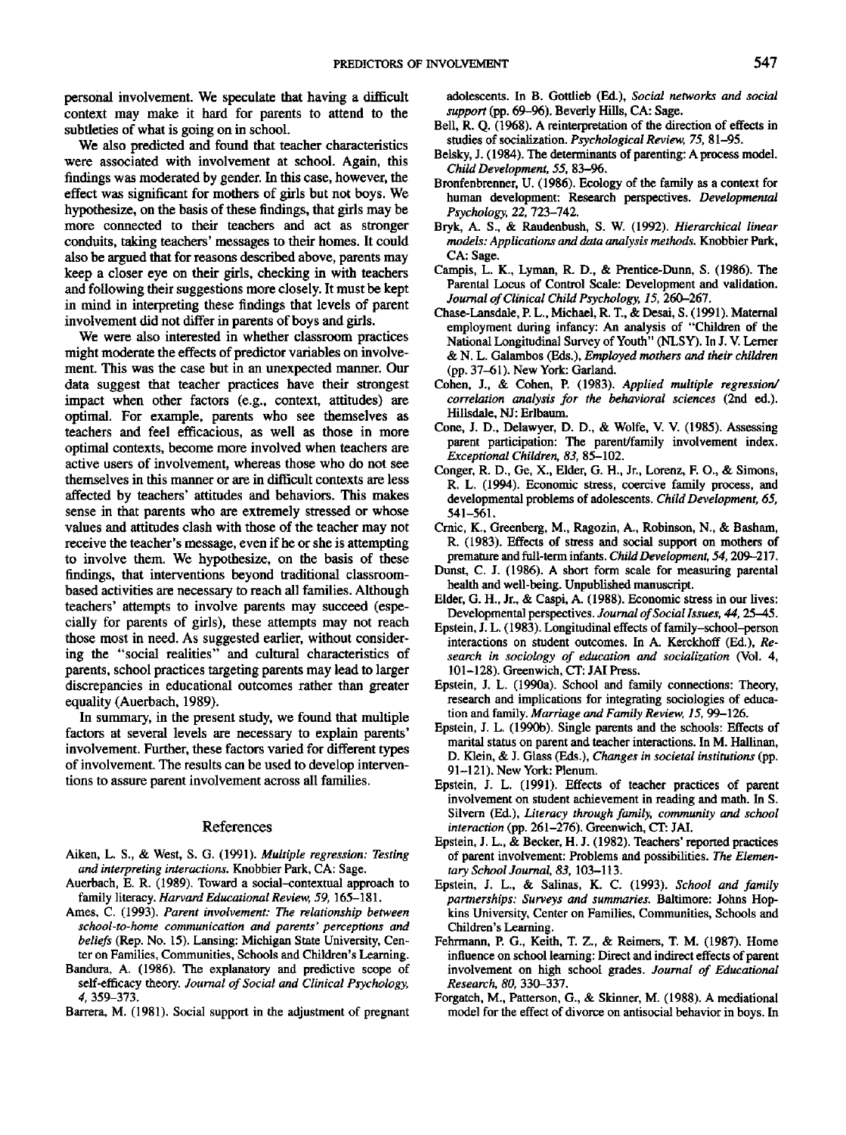personal involvement. We speculate that having a difficult context may make it hard for parents to attend to the subtleties of what is going on in school.

We also predicted and found that teacher characteristics were associated with involvement at school. Again, this findings was moderated by gender. In this case, however, the effect was significant for mothers of girls but not boys. We hypothesize, on the basis of these findings, that girls may be more connected to their teachers and act as stronger conduits, taking teachers' messages to their homes. It could also be argued that for reasons described above, parents may keep a closer eye on their girls, checking in with teachers and following their suggestions more closely. It must be kept in mind in interpreting these findings that levels of parent involvement did not differ in parents of boys and girls.

We were also interested in whether classroom practices might moderate the effects of predictor variables on involvement. This was the case but in an unexpected manner. Our data suggest that teacher practices have their strongest impact when other factors (e.g., context, attitudes) are optimal. For example, parents who see themselves as teachers and feel efficacious, as well as those in more optimal contexts, become more involved when teachers are active users of involvement, whereas those who do not see themselves in this manner or are in difficult contexts are less affected by teachers' attitudes and behaviors. This makes sense in that parents who are extremely stressed or whose values and attitudes clash with those of the teacher may not receive the teacher's message, even if he or she is attempting to involve them. We hypothesize, on the basis of these findings, that interventions beyond traditional classroombased activities are necessary to reach all families. Although teachers' attempts to involve parents may succeed (especially for parents of girls), these attempts may not reach those most in need. As suggested earlier, without considering the "social realities" and cultural characteristics of parents, school practices targeting parents may lead to larger discrepancies in educational outcomes rather than greater equality (Auerbach, 1989).

In summary, in the present study, we found that multiple factors at several levels are necessary to explain parents' involvement. Further, these factors varied for different types of involvement. The results can be used to develop interventions to assure parent involvement across all families.

# References

- Aiken, L. S., & West, S. G. (1991). *Multiple regression: Testing and interpreting interactions.* Knobbier Park, CA: Sage.
- Auerbach, E. R. (1989). Toward a social-contextual approach to family literacy. *Harvard Educational Review, 59,* 165-181.
- Ames, C. (1993). *Parent involvement: The relationship between school-to-home communication and parents' perceptions and beliefs* (Rep. No. 15). Lansing: Michigan State University, Center on Families, Communities, Schools and Children's Learning.
- Bandura, A. (1986). The explanatory and predictive scope of self-efficacy theory. *Journal of Social and Clinical Psychology, 4,* 359-373.
- Barrera, M. (1981). Social support in the adjustment of pregnant

adolescents. In B. Gottlieb (Ed.), *Social networks and social support* (pp. 69-96). Beverly Hills, CA: Sage.

- Bell, R. Q. (1968). A reinterpretation of the direction of effects in studies of socialization. *Psychological Review, 75,* 81-95.
- Belsky, J. (1984). The determinants of parenting: A process model. *Child Development, 55,* 83-96.
- Bronfenbrenner, U. (1986). Ecology of the family as a context for human development: Research perspectives. *Developmental Psychology, 22,* 723-742.
- Bryk, A. S., & Raudenbush, S. W. (1992). *Hierarchical linear models: Applications and data analysis methods.* Knobbier Park, CA: Sage.
- Campis, L. K., Lyman, R. D., & Prentice-Dunn, S. (1986). The Parental Locus of Control Scale: Development and validation. *Journal of Clinical Child Psychology, 15,* 260-267.
- Chase-Lansdale, P. L., Michael, R. T., & Desai, S. (1991). Maternal employment during infancy: An analysis of "Children of the National Longitudinal Survey of Youth" (NLSY). In J. V. Lerner & N. L. Galambos (Eds.), *Employed mothers and their children* (pp. 37-61). New York: Garland
- Cohen, J., & Cohen, P. (1983). *Applied multiple regression/ correlation analysis for the behavioral sciences* (2nd ed.). Hillsdale, NJ: Erlbaum.
- Cone, J. D., Delawyer, D. D., & Wolfe, V. V. (1985). Assessing parent participation: The parent/family involvement index. *Exceptional Children, 83,* 85-102.
- Conger, R. D., Ge, X., Elder, G. H., Jr., Lorenz, F. O., & Simons, R. L. (1994). Economic stress, coercive family process, and developmental problems of adolescents. *Child Development, 65,* 541-561.
- Crnic, K., Greenberg, M., Ragozin, A., Robinson, N., & Basham, R. (1983). Effects of stress and social support on mothers of premature and full-term infants. *Child Development, 54,*209-217.
- Dunst, C. J. (1986). A short form scale for measuring parental health and well-being. Unpublished manuscript.
- Elder, G. H., Jr., & Caspi, A. (1988). Economic stress in our lives: Developmental perspectives. *Journal of Social Issues, 44,*25-45.
- Epstein, J. L. (1983). Longitudinal effects of family-school-person interactions on student outcomes. In A. Kerckhoff (Ed.), *Research in sociology of education and socialization* (Vol. 4, 101-128). Greenwich, CT: JAI Press.
- Epstein, J. L. (1990a). School and family connections: Theory, research and implications for integrating sociologies of education and family. *Marriage and Family Review, 15,* 99-126.
- Epstein, J. L. (1990b). Single parents and the schools: Effects of marital status on parent and teacher interactions. In M. Hallinan, D. Klein, & J. Glass (Eds.), *Changes in societal institutions* (pp. 91-121). New York: Plenum.
- Epstein, J. L. (1991). Effects of teacher practices of parent involvement on student achievement in reading and math. In S. Silvern (Ed.), *Literacy through family, community and school interaction* (pp. 261-276). Greenwich, CT: JAI.
- Epstein, J. L., & Becker, H. J. (1982). Teachers' reported practices of parent involvement: Problems and possibilities. *The Elementary School Journal, 83,* 103-113.
- Epstein, J. L., & Salinas, K. C. (1993). *School and family partnerships: Surveys and summaries.* Baltimore: Johns Hopkins University, Center on Families, Communities, Schools and Children's Learning.
- Fehrmann, P. G., Keith, T. Z., & Reimers, T. M. (1987). Home influence on school learning: Direct and indirect effects of parent involvement on high school grades. *Journal of Educational Research, 80,* 330-337.
- Forgatch, M., Patterson, G., & Skinner, M. (1988). A mediational model for the effect of divorce on antisocial behavior in boys. In